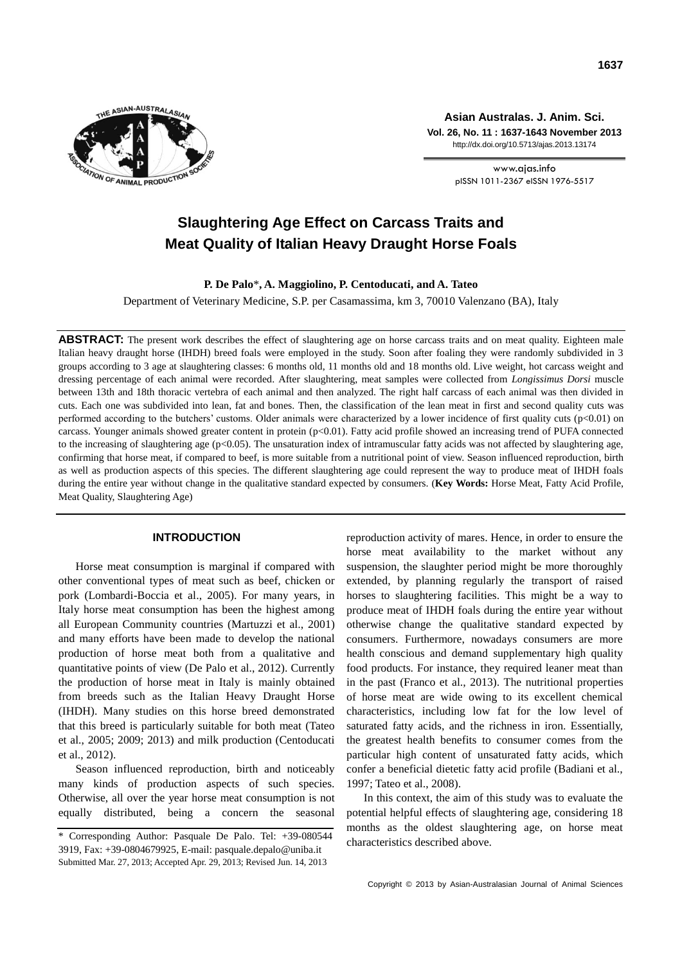

**Asian Australas. J. Anim. Sci. Vol. 26, No. 11 : 1637-1643 November 2013** http://dx.doi.org/10.5713/ajas.2013.13174

> www.ajas.info pISSN 1011-2367 eISSN 1976-5517

# **Slaughtering Age Effect on Carcass Traits and Meat Quality of Italian Heavy Draught Horse Foals**

**P. De Palo**\***, A. Maggiolino, P. Centoducati, and A. Tateo**

Department of Veterinary Medicine, S.P. per Casamassima, km 3, 70010 Valenzano (BA), Italy

**ABSTRACT:** The present work describes the effect of slaughtering age on horse carcass traits and on meat quality. Eighteen male Italian heavy draught horse (IHDH) breed foals were employed in the study. Soon after foaling they were randomly subdivided in 3 groups according to 3 age at slaughtering classes: 6 months old, 11 months old and 18 months old. Live weight, hot carcass weight and dressing percentage of each animal were recorded. After slaughtering, meat samples were collected from *Longissimus Dorsi* muscle between 13th and 18th thoracic vertebra of each animal and then analyzed. The right half carcass of each animal was then divided in cuts. Each one was subdivided into lean, fat and bones. Then, the classification of the lean meat in first and second quality cuts was performed according to the butchers' customs. Older animals were characterized by a lower incidence of first quality cuts (p<0.01) on carcass. Younger animals showed greater content in protein (p<0.01). Fatty acid profile showed an increasing trend of PUFA connected to the increasing of slaughtering age (p<0.05). The unsaturation index of intramuscular fatty acids was not affected by slaughtering age, confirming that horse meat, if compared to beef, is more suitable from a nutritional point of view. Season influenced reproduction, birth as well as production aspects of this species. The different slaughtering age could represent the way to produce meat of IHDH foals during the entire year without change in the qualitative standard expected by consumers. (**Key Words:** Horse Meat, Fatty Acid Profile, Meat Quality, Slaughtering Age)

# **INTRODUCTION**

Horse meat consumption is marginal if compared with other conventional types of meat such as beef, chicken or pork (Lombardi-Boccia et al., 2005). For many years, in Italy horse meat consumption has been the highest among all European Community countries (Martuzzi et al., 2001) and many efforts have been made to develop the national production of horse meat both from a qualitative and quantitative points of view (De Palo et al., 2012). Currently the production of horse meat in Italy is mainly obtained from breeds such as the Italian Heavy Draught Horse (IHDH). Many studies on this horse breed demonstrated that this breed is particularly suitable for both meat (Tateo et al., 2005; 2009; 2013) and milk production (Centoducati et al., 2012).

Season influenced reproduction, birth and noticeably many kinds of production aspects of such species. Otherwise, all over the year horse meat consumption is not equally distributed, being a concern the seasonal reproduction activity of mares. Hence, in order to ensure the horse meat availability to the market without any suspension, the slaughter period might be more thoroughly extended, by planning regularly the transport of raised horses to slaughtering facilities. This might be a way to produce meat of IHDH foals during the entire year without otherwise change the qualitative standard expected by consumers. Furthermore, nowadays consumers are more health conscious and demand supplementary high quality food products. For instance, they required leaner meat than in the past (Franco et al., 2013). The nutritional properties of horse meat are wide owing to its excellent chemical characteristics, including low fat for the low level of saturated fatty acids, and the richness in iron. Essentially, the greatest health benefits to consumer comes from the particular high content of unsaturated fatty acids, which confer a beneficial dietetic fatty acid profile (Badiani et al., 1997; Tateo et al., 2008).

In this context, the aim of this study was to evaluate the potential helpful effects of slaughtering age, considering 18 months as the oldest slaughtering age, on horse meat characteristics described above.

<sup>\*</sup> Corresponding Author: Pasquale De Palo. Tel: +39-080544 3919, Fax: +39-0804679925, E-mail: pasquale.depalo@uniba.it Submitted Mar. 27, 2013; Accepted Apr. 29, 2013; Revised Jun. 14, 2013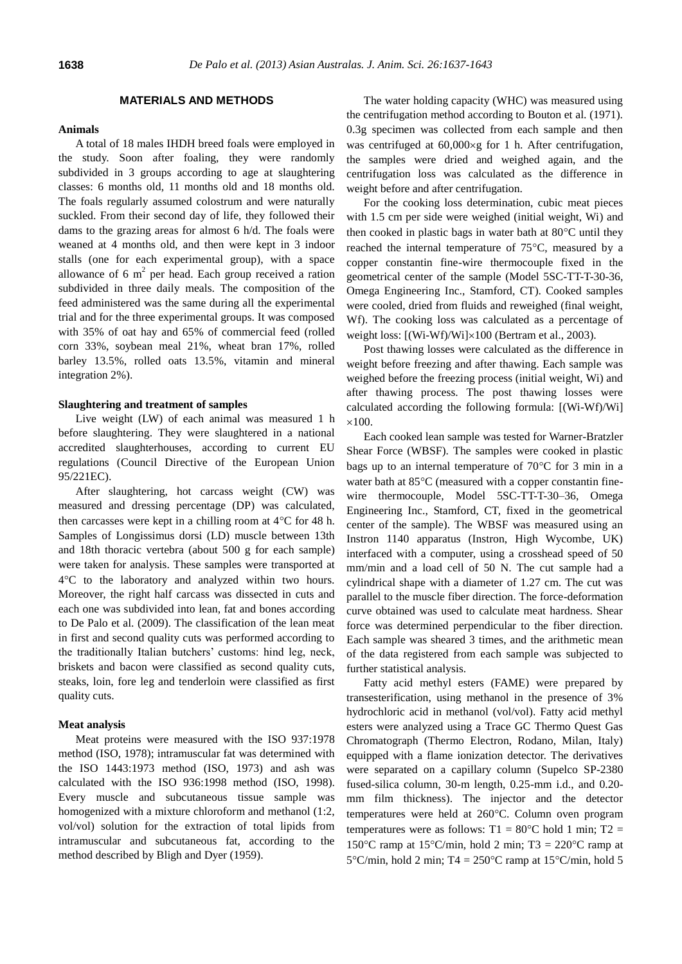# **MATERIALS AND METHODS**

#### **Animals**

A total of 18 males IHDH breed foals were employed in the study. Soon after foaling, they were randomly subdivided in 3 groups according to age at slaughtering classes: 6 months old, 11 months old and 18 months old. The foals regularly assumed colostrum and were naturally suckled. From their second day of life, they followed their dams to the grazing areas for almost 6 h/d. The foals were weaned at 4 months old, and then were kept in 3 indoor stalls (one for each experimental group), with a space allowance of 6  $m<sup>2</sup>$  per head. Each group received a ration subdivided in three daily meals. The composition of the feed administered was the same during all the experimental trial and for the three experimental groups. It was composed with 35% of oat hay and 65% of commercial feed (rolled corn 33%, soybean meal 21%, wheat bran 17%, rolled barley 13.5%, rolled oats 13.5%, vitamin and mineral integration 2%).

#### **Slaughtering and treatment of samples**

Live weight (LW) of each animal was measured 1 h before slaughtering. They were slaughtered in a national accredited slaughterhouses, according to current EU regulations (Council Directive of the European Union 95/221EC).

After slaughtering, hot carcass weight (CW) was measured and dressing percentage (DP) was calculated, then carcasses were kept in a chilling room at  $4^{\circ}$ C for 48 h. Samples of Longissimus dorsi (LD) muscle between 13th and 18th thoracic vertebra (about 500 g for each sample) were taken for analysis. These samples were transported at 4C to the laboratory and analyzed within two hours. Moreover, the right half carcass was dissected in cuts and each one was subdivided into lean, fat and bones according to De Palo et al. (2009). The classification of the lean meat in first and second quality cuts was performed according to the traditionally Italian butchers' customs: hind leg, neck, briskets and bacon were classified as second quality cuts, steaks, loin, fore leg and tenderloin were classified as first quality cuts.

## **Meat analysis**

Meat proteins were measured with the ISO 937:1978 method (ISO, 1978); intramuscular fat was determined with the ISO 1443:1973 method (ISO, 1973) and ash was calculated with the ISO 936:1998 method (ISO, 1998). Every muscle and subcutaneous tissue sample was homogenized with a mixture chloroform and methanol (1:2, vol/vol) solution for the extraction of total lipids from intramuscular and subcutaneous fat, according to the method described by Bligh and Dyer (1959).

The water holding capacity (WHC) was measured using the centrifugation method according to Bouton et al. (1971). 0.3g specimen was collected from each sample and then was centrifuged at  $60,000 \times g$  for 1 h. After centrifugation, the samples were dried and weighed again, and the centrifugation loss was calculated as the difference in weight before and after centrifugation.

For the cooking loss determination, cubic meat pieces with 1.5 cm per side were weighed (initial weight, Wi) and then cooked in plastic bags in water bath at  $80^{\circ}$ C until they reached the internal temperature of  $75^{\circ}$ C, measured by a copper constantin fine-wire thermocouple fixed in the geometrical center of the sample (Model 5SC-TT-T-30-36, Omega Engineering Inc., Stamford, CT). Cooked samples were cooled, dried from fluids and reweighed (final weight, Wf). The cooking loss was calculated as a percentage of weight loss:  $[(Wi-Wf)/Wi] \times 100$  (Bertram et al., 2003).

Post thawing losses were calculated as the difference in weight before freezing and after thawing. Each sample was weighed before the freezing process (initial weight, Wi) and after thawing process. The post thawing losses were calculated according the following formula: [(Wi-Wf)/Wi]  $\times$ 100.

Each cooked lean sample was tested for Warner-Bratzler Shear Force (WBSF). The samples were cooked in plastic bags up to an internal temperature of  $70^{\circ}$ C for 3 min in a water bath at 85°C (measured with a copper constantin finewire thermocouple, Model 5SC-TT-T-30–36, Omega Engineering Inc., Stamford, CT, fixed in the geometrical center of the sample). The WBSF was measured using an Instron 1140 apparatus (Instron, High Wycombe, UK) interfaced with a computer, using a crosshead speed of 50 mm/min and a load cell of 50 N. The cut sample had a cylindrical shape with a diameter of 1.27 cm. The cut was parallel to the muscle fiber direction. The force-deformation curve obtained was used to calculate meat hardness. Shear force was determined perpendicular to the fiber direction. Each sample was sheared 3 times, and the arithmetic mean of the data registered from each sample was subjected to further statistical analysis.

Fatty acid methyl esters (FAME) were prepared by transesterification, using methanol in the presence of 3% hydrochloric acid in methanol (vol/vol). Fatty acid methyl esters were analyzed using a Trace GC Thermo Quest Gas Chromatograph (Thermo Electron, Rodano, Milan, Italy) equipped with a flame ionization detector. The derivatives were separated on a capillary column (Supelco SP-2380 fused-silica column, 30-m length, 0.25-mm i.d., and 0.20 mm film thickness). The injector and the detector temperatures were held at 260°C. Column oven program temperatures were as follows:  $T1 = 80^{\circ}$ C hold 1 min;  $T2 =$ 150°C ramp at 15°C/min, hold 2 min; T3 = 220°C ramp at  $5^{\circ}$ C/min, hold 2 min; T4 = 250 $^{\circ}$ C ramp at 15 $^{\circ}$ C/min, hold 5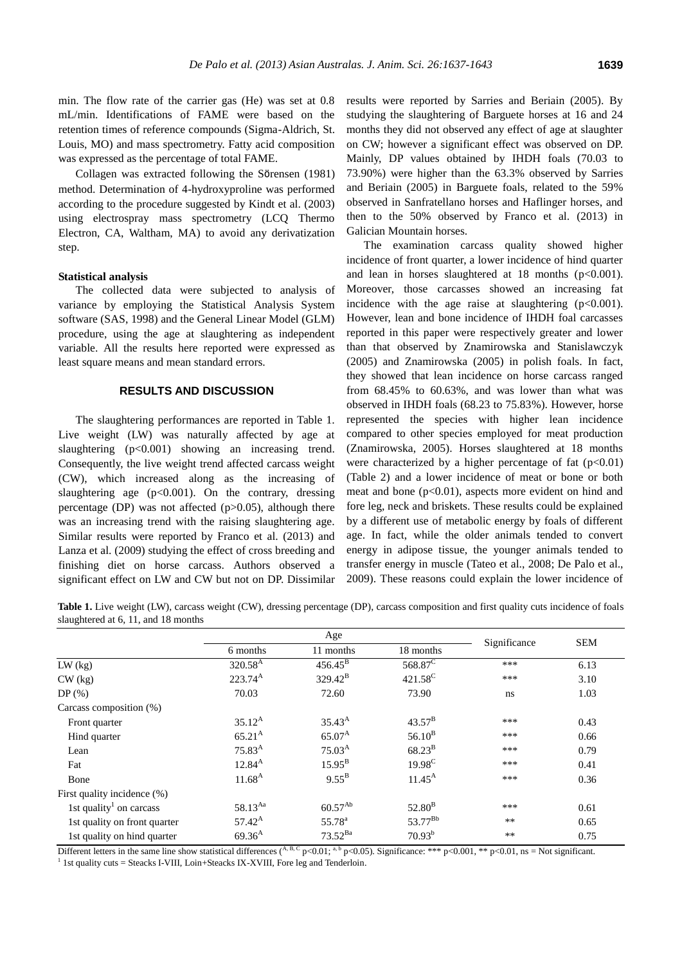min. The flow rate of the carrier gas (He) was set at 0.8 mL/min. Identifications of FAME were based on the retention times of reference compounds (Sigma-Aldrich, St. Louis, MO) and mass spectrometry. Fatty acid composition was expressed as the percentage of total FAME.

Collagen was extracted following the Sӧrensen (1981) method. Determination of 4-hydroxyproline was performed according to the procedure suggested by Kindt et al. (2003) using electrospray mass spectrometry (LCQ Thermo Electron, CA, Waltham, MA) to avoid any derivatization step.

### **Statistical analysis**

The collected data were subjected to analysis of variance by employing the Statistical Analysis System software (SAS, 1998) and the General Linear Model (GLM) procedure, using the age at slaughtering as independent variable. All the results here reported were expressed as least square means and mean standard errors.

# **RESULTS AND DISCUSSION**

The slaughtering performances are reported in Table 1. Live weight (LW) was naturally affected by age at slaughtering (p<0.001) showing an increasing trend. Consequently, the live weight trend affected carcass weight (CW), which increased along as the increasing of slaughtering age  $(p<0.001)$ . On the contrary, dressing percentage (DP) was not affected ( $p > 0.05$ ), although there was an increasing trend with the raising slaughtering age. Similar results were reported by Franco et al. (2013) and Lanza et al. (2009) studying the effect of cross breeding and finishing diet on horse carcass. Authors observed a significant effect on LW and CW but not on DP. Dissimilar results were reported by Sarries and Beriain (2005). By studying the slaughtering of Barguete horses at 16 and 24 months they did not observed any effect of age at slaughter on CW; however a significant effect was observed on DP. Mainly, DP values obtained by IHDH foals (70.03 to 73.90%) were higher than the 63.3% observed by Sarries and Beriain (2005) in Barguete foals, related to the 59% observed in Sanfratellano horses and Haflinger horses, and then to the 50% observed by Franco et al. (2013) in Galician Mountain horses.

The examination carcass quality showed higher incidence of front quarter, a lower incidence of hind quarter and lean in horses slaughtered at  $18$  months ( $p<0.001$ ). Moreover, those carcasses showed an increasing fat incidence with the age raise at slaughtering  $(p<0.001)$ . However, lean and bone incidence of IHDH foal carcasses reported in this paper were respectively greater and lower than that observed by Znamirowska and Stanislawczyk (2005) and Znamirowska (2005) in polish foals. In fact, they showed that lean incidence on horse carcass ranged from 68.45% to 60.63%, and was lower than what was observed in IHDH foals (68.23 to 75.83%). However, horse represented the species with higher lean incidence compared to other species employed for meat production (Znamirowska, 2005). Horses slaughtered at 18 months were characterized by a higher percentage of fat  $(p<0.01)$ (Table 2) and a lower incidence of meat or bone or both meat and bone (p<0.01), aspects more evident on hind and fore leg, neck and briskets. These results could be explained by a different use of metabolic energy by foals of different age. In fact, while the older animals tended to convert energy in adipose tissue, the younger animals tended to transfer energy in muscle (Tateo et al., 2008; De Palo et al., 2009). These reasons could explain the lower incidence of

Table 1. Live weight (LW), carcass weight (CW), dressing percentage (DP), carcass composition and first quality cuts incidence of foals slaughtered at 6, 11, and 18 months

|                                     | Age             |                    |                     |              | <b>SEM</b> |
|-------------------------------------|-----------------|--------------------|---------------------|--------------|------------|
|                                     | 6 months        | 11 months          | 18 months           | Significance |            |
| $LW$ (kg)                           | $320.58^{A}$    | $456.45^{\rm B}$   | 568.87 <sup>C</sup> | ***          | 6.13       |
| $CW$ (kg)                           | $223.74^{A}$    | $329.42^{\rm B}$   | $421.58^C$          | ***          | 3.10       |
| $DP(\%)$                            | 70.03           | 72.60              | 73.90               | ns.          | 1.03       |
| Carcass composition (%)             |                 |                    |                     |              |            |
| Front quarter                       | $35.12^{\rm A}$ | $35.43^{A}$        | $43.57^{\rm B}$     | ***          | 0.43       |
| Hind quarter                        | $65.21^{A}$     | $65.07^{A}$        | $56.10^{B}$         | ***          | 0.66       |
| Lean                                | $75.83^{A}$     | $75.03^{A}$        | $68.23^{B}$         | ***          | 0.79       |
| Fat                                 | $12.84^{A}$     | $15.95^{\rm B}$    | $19.98^C$           | ***          | 0.41       |
| Bone                                | $11.68^{A}$     | $9.55^{B}$         | $11.45^{\text{A}}$  | ***          | 0.36       |
| First quality incidence (%)         |                 |                    |                     |              |            |
| 1st quality <sup>1</sup> on carcass | 58.13Aa         | $60.57^{Ab}$       | $52.80^{B}$         | ***          | 0.61       |
| 1st quality on front quarter        | $57.42^{\rm A}$ | 55.78 <sup>a</sup> | 53.77 <sup>Bb</sup> | $***$        | 0.65       |
| 1st quality on hind quarter         | $69.36^{A}$     | $73.52^{Ba}$       | $70.93^{b}$         | $**$         | 0.75       |

Different letters in the same line show statistical differences (A, B, C p<0.01; a, b p<0.05). Significance: \*\*\* p<0.001, \*\* p<0.01, ns = Not significant.  $1$  1st quality cuts = Steacks I-VIII, Loin+Steacks IX-XVIII, Fore leg and Tenderloin.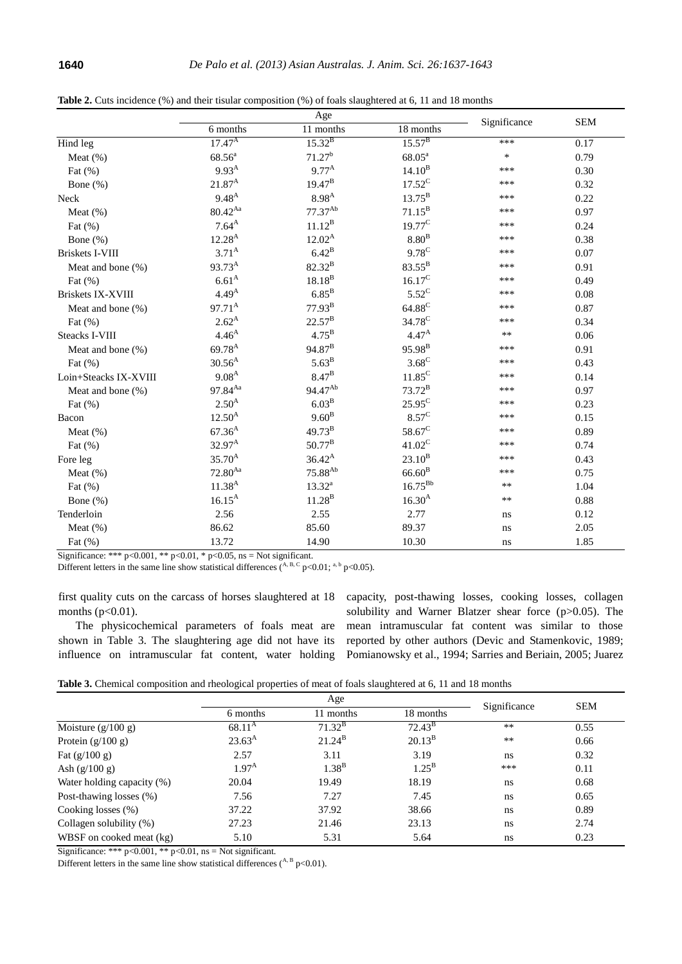|                          | Age                |                     |                    |              | <b>SEM</b> |
|--------------------------|--------------------|---------------------|--------------------|--------------|------------|
|                          | 6 months           | 11 months           | 18 months          | Significance |            |
| Hind leg                 | $17.47^{A}$        | $15.32^{B}$         | $15.57^{B}$        | ***          | 0.17       |
| Meat $(\%)$              | $68.56^{a}$        | 71.27 <sup>b</sup>  | $68.05^{\text{a}}$ | $\ast$       | 0.79       |
| Fat $(\%)$               | $9.93^{A}$         | $9.77^{A}$          | $14.10^{B}$        | ***          | 0.30       |
| Bone $(\%)$              | $21.87^{A}$        | $19.47^{B}$         | $17.52^C$          | ***          | 0.32       |
| Neck                     | $9.48^{A}$         | $8.98^{A}$          | $13.75^{\rm B}$    | ***          | 0.22       |
| Meat $(\%)$              | $80.42^{Aa}$       | $77.37^{Ab}$        | $71.15^{\rm B}$    | ***          | 0.97       |
| Fat $(\%)$               | $7.64^{\rm A}$     | $11.12^{B}$         | $19.77^{\circ}$    | ***          | 0.24       |
| Bone $(\%)$              | $12.28^{A}$        | $12.02^{A}$         | 8.80 <sup>B</sup>  | ***          | 0.38       |
| <b>Briskets I-VIII</b>   | $3.71^{A}$         | $6.42^{\mathrm{B}}$ | $9.78^{\circ}$     | ***          | 0.07       |
| Meat and bone (%)        | 93.73 <sup>A</sup> | $82.32^{B}$         | $83.55^{\rm B}$    | ***          | 0.91       |
| Fat $(\%)$               | 6.61 <sup>A</sup>  | $18.18^{B}$         | $16.17^C$          | ***          | 0.49       |
| <b>Briskets IX-XVIII</b> | 4.49 <sup>A</sup>  | $6.85^{\mathrm{B}}$ | $5.52^{\circ}$     | ***          | 0.08       |
| Meat and bone (%)        | $97.71^{\text{A}}$ | $77.93^{\rm B}$     | $64.88^{\circ}$    | ***          | 0.87       |
| Fat $(\%)$               | $2.62^{\rm A}$     | $22.57^{\rm B}$     | 34.78 <sup>C</sup> | ***          | 0.34       |
| <b>Steacks I-VIII</b>    | $4.46^{A}$         | $4.75^{\rm B}$      | $4.47^{A}$         | $**$         | 0.06       |
| Meat and bone (%)        | 69.78 <sup>A</sup> | 94.87 <sup>B</sup>  | 95.98 <sup>B</sup> | ***          | 0.91       |
| Fat $(\%)$               | $30.56^{A}$        | $5.63^B$            | $3.68^C$           | ***          | 0.43       |
| Loin+Steacks IX-XVIII    | $9.08^{A}$         | $8.47^{\mathrm{B}}$ | $11.85^C$          | ***          | 0.14       |
| Meat and bone (%)        | 97.84Aa            | 94.47 <sup>Ab</sup> | $73.72^{\rm B}$    | ***          | 0.97       |
| Fat $(\%)$               | $2.50^{A}$         | 6.03 <sup>B</sup>   | $25.95^{\circ}$    | ***          | 0.23       |
| Bacon                    | $12.50^{A}$        | $9.60^{\rm B}$      | $8.57^{\circ}$     | ***          | 0.15       |
| Meat $(\%)$              | $67.36^{A}$        | $49.73^{B}$         | 58.67 <sup>C</sup> | ***          | 0.89       |
| Fat $(\%)$               | $32.97^{\rm A}$    | $50.77^{B}$         | $41.02^C$          | ***          | 0.74       |
| Fore leg                 | $35.70^{A}$        | $36.42^{A}$         | $23.10^{B}$        | ***          | 0.43       |
| Meat $(\%)$              | $72.80^{Aa}$       | 75.88 <sup>Ab</sup> | $66.60^{B}$        | ***          | 0.75       |
| Fat $(\%)$               | $11.38^{A}$        | $13.32^{a}$         | $16.75^{\rm Bb}$   | **           | 1.04       |
| Bone $(\%)$              | $16.15^{A}$        | $11.28^{B}$         | $16.30^{A}$        | $**$         | 0.88       |
| Tenderloin               | 2.56               | 2.55                | 2.77               | ns           | 0.12       |
| Meat $(\%)$              | 86.62              | 85.60               | 89.37              | ns           | 2.05       |
| Fat $(\%)$               | 13.72              | 14.90               | 10.30              | ns           | 1.85       |

**Table 2.** Cuts incidence (%) and their tisular composition (%) of foals slaughtered at 6, 11 and 18 months

Significance: \*\*\* p<0.001, \*\* p<0.01, \* p<0.05, ns = Not significant.

Different letters in the same line show statistical differences  $(A, B, C, p<0.01;$ <sup>a, b</sup> p<0.05).

first quality cuts on the carcass of horses slaughtered at 18 months  $(p<0.01)$ .

The physicochemical parameters of foals meat are shown in Table 3. The slaughtering age did not have its influence on intramuscular fat content, water holding capacity, post-thawing losses, cooking losses, collagen solubility and Warner Blatzer shear force (p>0.05). The mean intramuscular fat content was similar to those reported by other authors (Devic and Stamenkovic, 1989; Pomianowsky et al., 1994; Sarries and Beriain, 2005; Juarez

|                            | Age               |                 |                 | Significance | <b>SEM</b> |
|----------------------------|-------------------|-----------------|-----------------|--------------|------------|
|                            | 6 months          | 11 months       | 18 months       |              |            |
| Moisture $(g/100 g)$       | $68.11^{\rm A}$   | $71.32^{\rm B}$ | $72.43^{\rm B}$ | $***$        | 0.55       |
| Protein $(g/100 g)$        | $23.63^{\rm A}$   | $21.24^{\rm B}$ | $20.13^{B}$     | $***$        | 0.66       |
| Fat $(g/100 g)$            | 2.57              | 3.11            | 3.19            | ns           | 0.32       |
| Ash $(g/100 g)$            | 1.97 <sup>A</sup> | $1.38^{B}$      | $1.25^{\rm B}$  | ***          | 0.11       |
| Water holding capacity (%) | 20.04             | 19.49           | 18.19           | ns           | 0.68       |
| Post-thawing losses (%)    | 7.56              | 7.27            | 7.45            | ns           | 0.65       |
| Cooking losses $(\%)$      | 37.22             | 37.92           | 38.66           | ns           | 0.89       |
| Collagen solubility (%)    | 27.23             | 21.46           | 23.13           | ns           | 2.74       |
| WBSF on cooked meat (kg)   | 5.10              | 5.31            | 5.64            | ns           | 0.23       |

Significance: \*\*\*  $p<0.001$ , \*\*  $p<0.01$ , ns = Not significant.

Different letters in the same line show statistical differences ( $A$ , B p<0.01).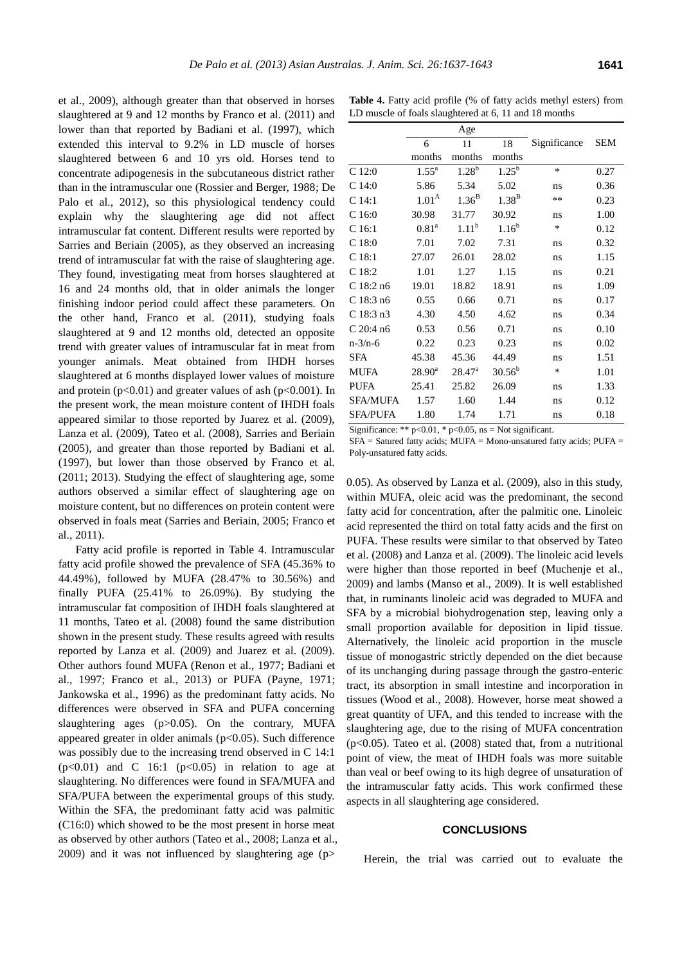et al., 2009), although greater than that observed in horses slaughtered at 9 and 12 months by Franco et al. (2011) and lower than that reported by Badiani et al. (1997), which extended this interval to 9.2% in LD muscle of horses slaughtered between 6 and 10 yrs old. Horses tend to concentrate adipogenesis in the subcutaneous district rather than in the intramuscular one (Rossier and Berger, 1988; De Palo et al., 2012), so this physiological tendency could explain why the slaughtering age did not affect intramuscular fat content. Different results were reported by Sarries and Beriain (2005), as they observed an increasing trend of intramuscular fat with the raise of slaughtering age. They found, investigating meat from horses slaughtered at 16 and 24 months old, that in older animals the longer finishing indoor period could affect these parameters. On the other hand, Franco et al. (2011), studying foals slaughtered at 9 and 12 months old, detected an opposite trend with greater values of intramuscular fat in meat from younger animals. Meat obtained from IHDH horses slaughtered at 6 months displayed lower values of moisture and protein ( $p<0.01$ ) and greater values of ash ( $p<0.001$ ). In the present work, the mean moisture content of IHDH foals appeared similar to those reported by Juarez et al. (2009), Lanza et al. (2009), Tateo et al. (2008), Sarries and Beriain (2005), and greater than those reported by Badiani et al. (1997), but lower than those observed by Franco et al. (2011; 2013). Studying the effect of slaughtering age, some authors observed a similar effect of slaughtering age on moisture content, but no differences on protein content were observed in foals meat (Sarries and Beriain, 2005; Franco et al., 2011).

Fatty acid profile is reported in Table 4. Intramuscular fatty acid profile showed the prevalence of SFA (45.36% to 44.49%), followed by MUFA (28.47% to 30.56%) and finally PUFA (25.41% to 26.09%). By studying the intramuscular fat composition of IHDH foals slaughtered at 11 months, Tateo et al. (2008) found the same distribution shown in the present study. These results agreed with results reported by Lanza et al. (2009) and Juarez et al. (2009). Other authors found MUFA (Renon et al., 1977; Badiani et al., 1997; Franco et al., 2013) or PUFA (Payne, 1971; Jankowska et al., 1996) as the predominant fatty acids. No differences were observed in SFA and PUFA concerning slaughtering ages (p>0.05). On the contrary, MUFA appeared greater in older animals  $(p<0.05)$ . Such difference was possibly due to the increasing trend observed in C 14:1  $(p<0.01)$  and C 16:1  $(p<0.05)$  in relation to age at slaughtering. No differences were found in SFA/MUFA and SFA/PUFA between the experimental groups of this study. Within the SFA, the predominant fatty acid was palmitic (C16:0) which showed to be the most present in horse meat as observed by other authors (Tateo et al., 2008; Lanza et al., 2009) and it was not influenced by slaughtering age  $(p>$ 

Table 4. Fatty acid profile (% of fatty acids methyl esters) from LD muscle of foals slaughtered at 6, 11 and 18 months

|                   | Age                 |                   |                   |              |            |
|-------------------|---------------------|-------------------|-------------------|--------------|------------|
|                   | 6                   | 11                | 18                | Significance | <b>SEM</b> |
|                   | months              | months            | months            |              |            |
| C 12:0            | $1.55^{\rm a}$      | $1.28^{b}$        | $1.25^{b}$        | $\ast$       | 0.27       |
| C14:0             | 5.86                | 5.34              | 5.02              | ns           | 0.36       |
| C14:1             | 1.01 <sup>A</sup>   | 1.36 <sup>B</sup> | 1.38 <sup>B</sup> | **           | 0.23       |
| C <sub>16:0</sub> | 30.98               | 31.77             | 30.92             | ns           | 1.00       |
| C 16:1            | $0.81$ <sup>a</sup> | $1.11^{b}$        | $1.16^{b}$        | *            | 0.12       |
| C 18:0            | 7.01                | 7.02              | 7.31              | ns           | 0.32       |
| C <sub>18:1</sub> | 27.07               | 26.01             | 28.02             | ns           | 1.15       |
| C18:2             | 1.01                | 1.27              | 1.15              | ns           | 0.21       |
| $C$ 18:2 n6       | 19.01               | 18.82             | 18.91             | ns           | 1.09       |
| C 18:3 n6         | 0.55                | 0.66              | 0.71              | ns           | 0.17       |
| $C$ 18:3 n3       | 4.30                | 4.50              | 4.62              | ns           | 0.34       |
| $C$ 20:4 n6       | 0.53                | 0.56              | 0.71              | ns           | 0.10       |
| $n - 3/n - 6$     | 0.22                | 0.23              | 0.23              | ns           | 0.02       |
| SFA               | 45.38               | 45.36             | 44.49             | ns           | 1.51       |
| MUFA              | $28.90^{\rm a}$     | $28.47^{\circ}$   | $30.56^b$         | ∗            | 1.01       |
| PUFA              | 25.41               | 25.82             | 26.09             | ns           | 1.33       |
| SFA/MUFA          | 1.57                | 1.60              | 1.44              | ns           | 0.12       |
| <b>SFA/PUFA</b>   | 1.80                | 1.74              | 1.71              | ns           | 0.18       |

Significance: \*\*  $p<0.01$ , \*  $p<0.05$ , ns = Not significant.

SFA = Satured fatty acids; MUFA = Mono-unsatured fatty acids; PUFA = Poly-unsatured fatty acids.

0.05). As observed by Lanza et al. (2009), also in this study, within MUFA, oleic acid was the predominant, the second fatty acid for concentration, after the palmitic one. Linoleic acid represented the third on total fatty acids and the first on PUFA. These results were similar to that observed by Tateo et al. (2008) and Lanza et al. (2009). The linoleic acid levels were higher than those reported in beef (Muchenje et al., 2009) and lambs (Manso et al., 2009). It is well established that, in ruminants linoleic acid was degraded to MUFA and SFA by a microbial biohydrogenation step, leaving only a small proportion available for deposition in lipid tissue. Alternatively, the linoleic acid proportion in the muscle tissue of monogastric strictly depended on the diet because of its unchanging during passage through the gastro-enteric tract, its absorption in small intestine and incorporation in tissues (Wood et al., 2008). However, horse meat showed a great quantity of UFA, and this tended to increase with the slaughtering age, due to the rising of MUFA concentration (p<0.05). Tateo et al. (2008) stated that, from a nutritional point of view, the meat of IHDH foals was more suitable than veal or beef owing to its high degree of unsaturation of the intramuscular fatty acids. This work confirmed these aspects in all slaughtering age considered.

## **CONCLUSIONS**

Herein, the trial was carried out to evaluate the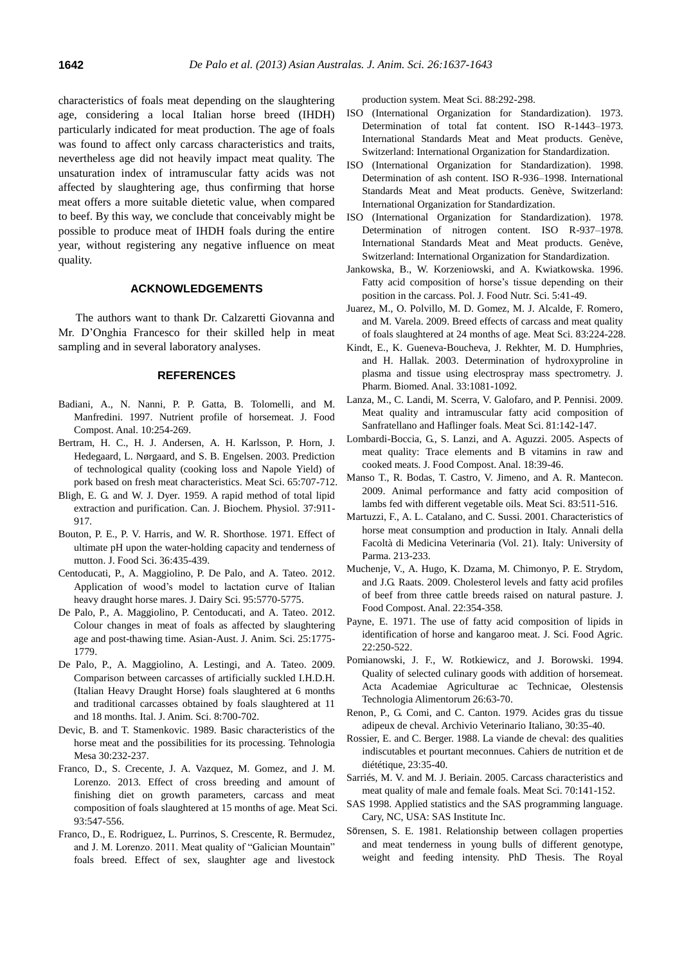characteristics of foals meat depending on the slaughtering age, considering a local Italian horse breed (IHDH) particularly indicated for meat production. The age of foals was found to affect only carcass characteristics and traits, nevertheless age did not heavily impact meat quality. The unsaturation index of intramuscular fatty acids was not affected by slaughtering age, thus confirming that horse meat offers a more suitable dietetic value, when compared to beef. By this way, we conclude that conceivably might be possible to produce meat of IHDH foals during the entire year, without registering any negative influence on meat quality.

## **ACKNOWLEDGEMENTS**

The authors want to thank Dr. Calzaretti Giovanna and Mr. D'Onghia Francesco for their skilled help in meat sampling and in several laboratory analyses.

## **REFERENCES**

- Badiani, A., N. Nanni, P. P. Gatta, B. Tolomelli, and M. Manfredini. 1997. Nutrient profile of horsemeat. J. Food Compost. Anal. 10:254-269.
- Bertram, H. C., H. J. Andersen, A. H. Karlsson, P. Horn, J. Hedegaard, L. Nørgaard, and S. B. Engelsen. 2003. Prediction of technological quality (cooking loss and Napole Yield) of pork based on fresh meat characteristics. Meat Sci. 65:707-712.
- Bligh, E. G. and W. J. Dyer. 1959. A rapid method of total lipid extraction and purification. Can. J. Biochem. Physiol. 37:911- 917.
- Bouton, P. E., P. V. Harris, and W. R. Shorthose. 1971. Effect of ultimate pH upon the water-holding capacity and tenderness of mutton. J. Food Sci. 36:435-439.
- Centoducati, P., A. Maggiolino, P. De Palo, and A. Tateo. 2012. Application of wood's model to lactation curve of Italian heavy draught horse mares. J. Dairy Sci. 95:5770-5775.
- De Palo, P., A. Maggiolino, P. Centoducati, and A. Tateo. 2012. Colour changes in meat of foals as affected by slaughtering age and post-thawing time. Asian-Aust. J. Anim. Sci. 25:1775- 1779.
- De Palo, P., A. Maggiolino, A. Lestingi, and A. Tateo. 2009. Comparison between carcasses of artificially suckled I.H.D.H. (Italian Heavy Draught Horse) foals slaughtered at 6 months and traditional carcasses obtained by foals slaughtered at 11 and 18 months. Ital. J. Anim. Sci. 8:700-702.
- Devic, B. and T. Stamenkovic. 1989. Basic characteristics of the horse meat and the possibilities for its processing. Tehnologia Mesa 30:232-237.
- Franco, D., S. Crecente, J. A. Vazquez, M. Gomez, and J. M. Lorenzo. 2013. Effect of cross breeding and amount of finishing diet on growth parameters, carcass and meat composition of foals slaughtered at 15 months of age. Meat Sci. 93:547-556.
- Franco, D., E. Rodriguez, L. Purrinos, S. Crescente, R. Bermudez, and J. M. Lorenzo. 2011. Meat quality of "Galician Mountain" foals breed. Effect of sex, slaughter age and livestock

production system. Meat Sci. 88:292-298.

- ISO (International Organization for Standardization). 1973. Determination of total fat content. ISO R-1443–1973. International Standards Meat and Meat products. Genève, Switzerland: International Organization for Standardization.
- ISO (International Organization for Standardization). 1998. Determination of ash content. ISO R-936–1998. International Standards Meat and Meat products. Genève, Switzerland: International Organization for Standardization.
- ISO (International Organization for Standardization). 1978. Determination of nitrogen content. ISO R-937–1978. International Standards Meat and Meat products. Genève, Switzerland: International Organization for Standardization.
- Jankowska, B., W. Korzeniowski, and A. Kwiatkowska. 1996. Fatty acid composition of horse's tissue depending on their position in the carcass. Pol. J. Food Nutr. Sci. 5:41-49.
- Juarez, M., O. Polvillo, M. D. Gomez, M. J. Alcalde, F. Romero, and M. Varela. 2009. Breed effects of carcass and meat quality of foals slaughtered at 24 months of age. Meat Sci. 83:224-228.
- Kindt, E., K. Gueneva-Boucheva, J. Rekhter, M. D. Humphries, and H. Hallak. 2003. Determination of hydroxyproline in plasma and tissue using electrospray mass spectrometry. J. Pharm. Biomed. Anal. 33:1081-1092.
- Lanza, M., C. Landi, M. Scerra, V. Galofaro, and P. Pennisi. 2009. Meat quality and intramuscular fatty acid composition of Sanfratellano and Haflinger foals. Meat Sci. 81:142-147.
- Lombardi-Boccia, G., S. Lanzi, and A. Aguzzi. 2005. Aspects of meat quality: Trace elements and B vitamins in raw and cooked meats. J. Food Compost. Anal. 18:39-46.
- Manso T., R. Bodas, T. Castro, V. Jimeno, and A. R. Mantecon. 2009. Animal performance and fatty acid composition of lambs fed with different vegetable oils. Meat Sci. 83:511-516.
- Martuzzi, F., A. L. Catalano, and C. Sussi. 2001. Characteristics of horse meat consumption and production in Italy. Annali della Facoltà di Medicina Veterinaria (Vol. 21). Italy: University of Parma. 213-233.
- Muchenje, V., A. Hugo, K. Dzama, M. Chimonyo, P. E. Strydom, and J.G. Raats. 2009. Cholesterol levels and fatty acid profiles of beef from three cattle breeds raised on natural pasture. J. Food Compost. Anal. 22:354-358.
- Payne, E. 1971. The use of fatty acid composition of lipids in identification of horse and kangaroo meat. J. Sci. Food Agric. 22:250-522.
- Pomianowski, J. F., W. Rotkiewicz, and J. Borowski. 1994. Quality of selected culinary goods with addition of horsemeat. Acta Academiae Agriculturae ac Technicae, Olestensis Technologia Alimentorum 26:63-70.
- Renon, P., G. Comi, and C. Canton. 1979. Acides gras du tissue adipeux de cheval. Archivio Veterinario Italiano, 30:35-40.
- Rossier, E. and C. Berger. 1988. La viande de cheval: des qualities indiscutables et pourtant meconnues. Cahiers de nutrition et de diététique, 23:35-40.
- Sarriés, M. V. and M. J. Beriain. 2005. Carcass characteristics and meat quality of male and female foals. Meat Sci. 70:141-152.
- SAS 1998. Applied statistics and the SAS programming language. Cary, NC, USA: SAS Institute Inc.
- Sӧrensen, S. E. 1981. Relationship between collagen properties and meat tenderness in young bulls of different genotype, weight and feeding intensity. PhD Thesis. The Royal